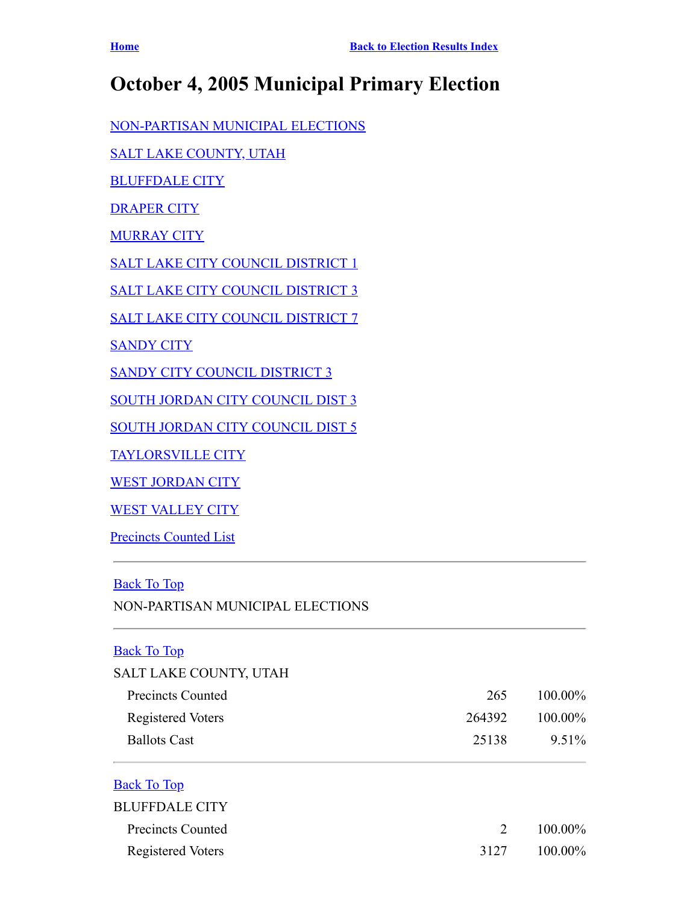# **October 4, 2005 Municipal Primary Election**

[NON-PARTISAN MUNICIPAL ELECTIONS](#page-0-0)

[SALT LAKE COUNTY, UTAH](#page-0-1)

[BLUFFDALE CITY](#page-0-2)

[DRAPER CITY](#page-1-0)

**[MURRAY CITY](#page-1-1)** 

[SALT LAKE CITY COUNCIL DISTRICT 1](#page-2-0)

[SALT LAKE CITY COUNCIL DISTRICT 3](#page-2-1)

[SALT LAKE CITY COUNCIL DISTRICT 7](#page-2-2)

**[SANDY CITY](#page-3-0)** 

[SANDY CITY COUNCIL DISTRICT 3](#page-3-1)

[SOUTH JORDAN CITY COUNCIL DIST 3](#page-3-2)

[SOUTH JORDAN CITY COUNCIL DIST 5](#page-4-0)

[TAYLORSVILLE CITY](#page-4-1)

[WEST JORDAN CITY](#page-4-2)

[WEST VALLEY CITY](#page-5-0)

Precincts Counted List

### <span id="page-0-0"></span>[Back To Top](#page-0-0)

NON-PARTISAN MUNICIPAL ELECTIONS

#### <span id="page-0-1"></span>**[Back To Top](#page-0-0)**

| SALT LAKE COUNTY, UTAH |        |            |
|------------------------|--------|------------|
| Precincts Counted      | 265    | $100.00\%$ |
| Registered Voters      | 264392 | $100.00\%$ |
| <b>Ballots Cast</b>    | 25138  | $9.51\%$   |
|                        |        |            |

## <span id="page-0-2"></span>[Back To Top](#page-0-0)

| <b>BLUFFDALE CITY</b> |      |            |
|-----------------------|------|------------|
| Precincts Counted     |      | 2 100.00%  |
| Registered Voters     | 3127 | $100.00\%$ |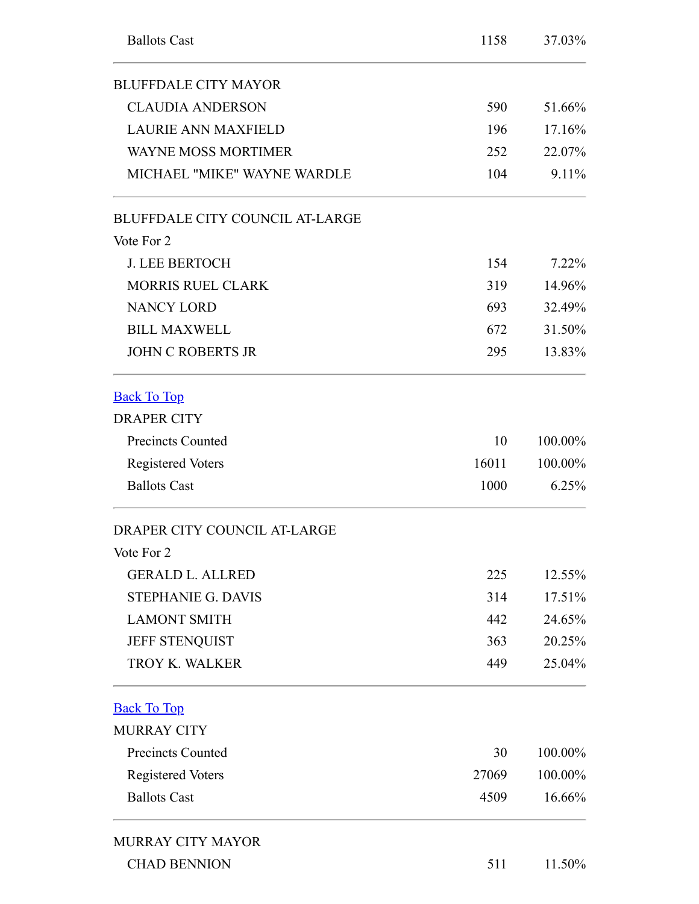<span id="page-1-1"></span><span id="page-1-0"></span>

| <b>Ballots Cast</b>                    | 1158  | 37.03%  |
|----------------------------------------|-------|---------|
| <b>BLUFFDALE CITY MAYOR</b>            |       |         |
| <b>CLAUDIA ANDERSON</b>                | 590   | 51.66%  |
| <b>LAURIE ANN MAXFIELD</b>             | 196   | 17.16%  |
| <b>WAYNE MOSS MORTIMER</b>             | 252   | 22.07%  |
| MICHAEL "MIKE" WAYNE WARDLE            | 104   | 9.11%   |
| <b>BLUFFDALE CITY COUNCIL AT-LARGE</b> |       |         |
| Vote For 2                             |       |         |
| <b>J. LEE BERTOCH</b>                  | 154   | 7.22%   |
| <b>MORRIS RUEL CLARK</b>               | 319   | 14.96%  |
| <b>NANCY LORD</b>                      | 693   | 32.49%  |
| <b>BILL MAXWELL</b>                    | 672   | 31.50%  |
| <b>JOHN C ROBERTS JR</b>               | 295   | 13.83%  |
| <b>Back To Top</b>                     |       |         |
| <b>DRAPER CITY</b>                     |       |         |
| <b>Precincts Counted</b>               | 10    | 100.00% |
| <b>Registered Voters</b>               | 16011 | 100.00% |
| <b>Ballots Cast</b>                    | 1000  | 6.25%   |
| DRAPER CITY COUNCIL AT-LARGE           |       |         |
| Vote For 2                             |       |         |
| <b>GERALD L. ALLRED</b>                | 225   | 12.55%  |
| <b>STEPHANIE G. DAVIS</b>              | 314   | 17.51%  |
| <b>LAMONT SMITH</b>                    | 442   | 24.65%  |
| JEFF STENQUIST                         | 363   | 20.25%  |
| <b>TROY K. WALKER</b>                  | 449   | 25.04%  |
| <b>Back To Top</b>                     |       |         |
| <b>MURRAY CITY</b>                     |       |         |
| <b>Precincts Counted</b>               | 30    | 100.00% |
| <b>Registered Voters</b>               | 27069 | 100.00% |
| <b>Ballots Cast</b>                    | 4509  | 16.66%  |
| <b>MURRAY CITY MAYOR</b>               |       |         |
| <b>CHAD BENNION</b>                    | 511   | 11.50%  |
|                                        |       |         |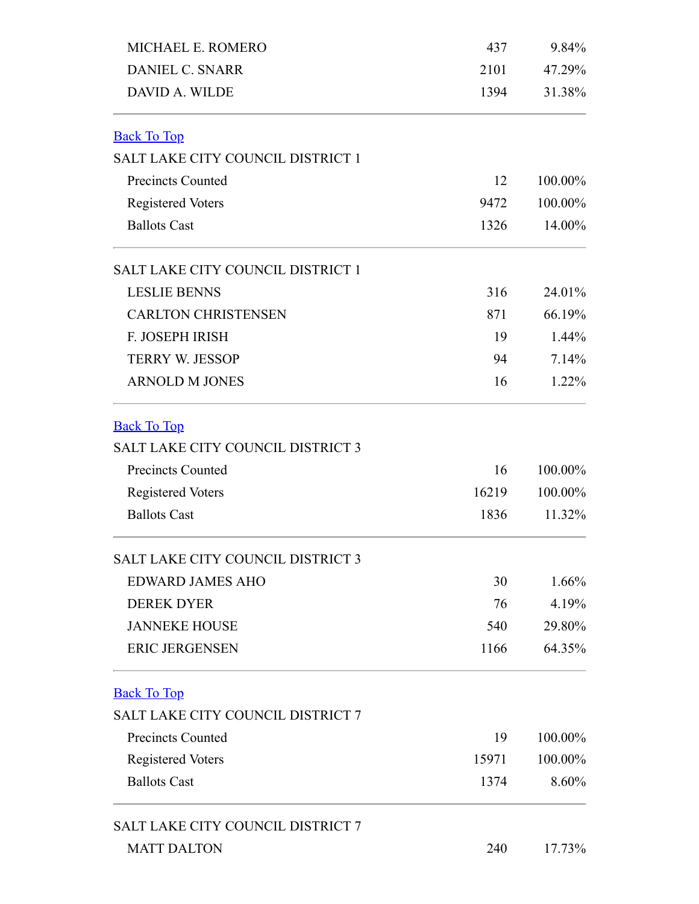<span id="page-2-2"></span><span id="page-2-1"></span><span id="page-2-0"></span>

| MICHAEL E. ROMERO                        | 437<br>2101<br>1394 | 9.84%<br>47.29%<br>31.38% |
|------------------------------------------|---------------------|---------------------------|
| <b>DANIEL C. SNARR</b>                   |                     |                           |
| DAVID A. WILDE                           |                     |                           |
| <b>Back To Top</b>                       |                     |                           |
| SALT LAKE CITY COUNCIL DISTRICT 1        |                     |                           |
| <b>Precincts Counted</b>                 | 12                  | 100.00%                   |
| <b>Registered Voters</b>                 | 9472                | 100.00%                   |
| <b>Ballots Cast</b>                      | 1326                | 14.00%                    |
| <b>SALT LAKE CITY COUNCIL DISTRICT 1</b> |                     |                           |
| <b>LESLIE BENNS</b>                      | 316                 | 24.01%                    |
| <b>CARLTON CHRISTENSEN</b>               | 871                 | 66.19%                    |
| F. JOSEPH IRISH                          | 19                  | $1.44\%$                  |
| <b>TERRY W. JESSOP</b>                   | 94                  | 7.14%                     |
| <b>ARNOLD M JONES</b>                    | 16                  | $1.22\%$                  |
| <b>Back To Top</b>                       |                     |                           |
| <b>SALT LAKE CITY COUNCIL DISTRICT 3</b> |                     |                           |
| <b>Precincts Counted</b>                 | 16                  | 100.00%                   |
| <b>Registered Voters</b>                 | 16219               | 100.00%                   |
| <b>Ballots Cast</b>                      | 1836                | 11.32%                    |
| SALT LAKE CITY COUNCIL DISTRICT 3        |                     |                           |
| <b>EDWARD JAMES AHO</b>                  | 30                  | $1.66\%$                  |
| <b>DEREK DYER</b>                        | 76                  | 4.19%                     |
| <b>JANNEKE HOUSE</b>                     | 540                 | 29.80%                    |
| <b>ERIC JERGENSEN</b>                    | 1166                | 64.35%                    |
| <b>Back To Top</b>                       |                     |                           |
| SALT LAKE CITY COUNCIL DISTRICT 7        |                     |                           |
| <b>Precincts Counted</b>                 | 19                  | 100.00%                   |
| <b>Registered Voters</b>                 | 15971               | 100.00%                   |
| <b>Ballots Cast</b>                      | 1374                | 8.60%                     |
| SALT LAKE CITY COUNCIL DISTRICT 7        |                     |                           |
| <b>MATT DALTON</b>                       | 240                 | 17.73%                    |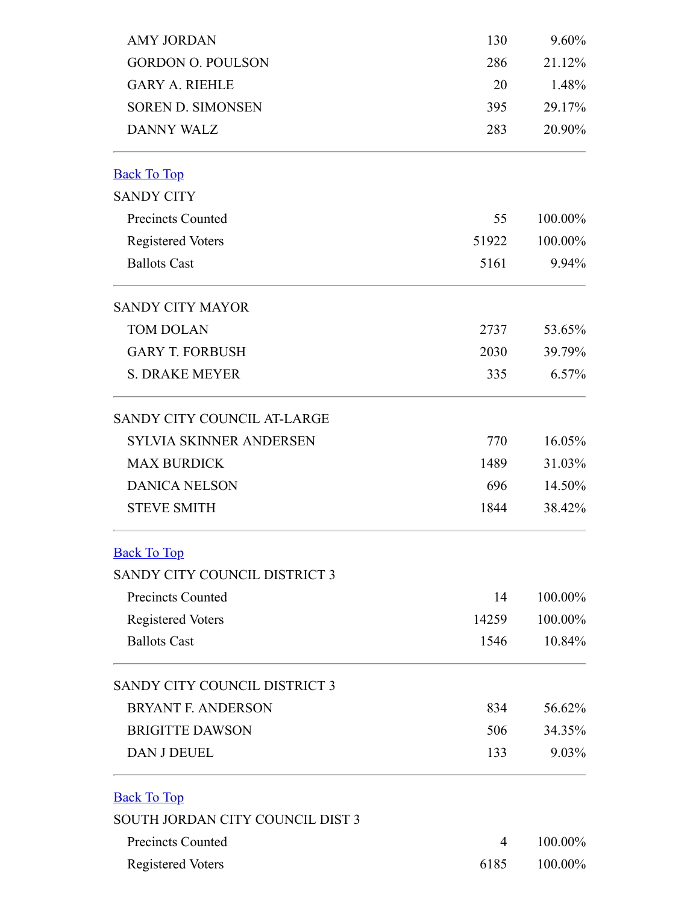<span id="page-3-2"></span><span id="page-3-1"></span><span id="page-3-0"></span>

| <b>AMY JORDAN</b>                                                                                                                                                                                                                                                                                                                                                                         | 130   | 9.60%   |
|-------------------------------------------------------------------------------------------------------------------------------------------------------------------------------------------------------------------------------------------------------------------------------------------------------------------------------------------------------------------------------------------|-------|---------|
| <b>GORDON O. POULSON</b>                                                                                                                                                                                                                                                                                                                                                                  | 286   | 21.12%  |
| <b>GARY A. RIEHLE</b>                                                                                                                                                                                                                                                                                                                                                                     | 20    | 1.48%   |
| <b>SOREN D. SIMONSEN</b>                                                                                                                                                                                                                                                                                                                                                                  | 395   | 29.17%  |
| <b>DANNY WALZ</b><br><b>Precincts Counted</b><br><b>Registered Voters</b><br><b>Ballots Cast</b><br><b>TOM DOLAN</b><br><b>GARY T. FORBUSH</b><br><b>S. DRAKE MEYER</b><br><b>SYLVIA SKINNER ANDERSEN</b><br><b>MAX BURDICK</b><br><b>DANICA NELSON</b><br><b>STEVE SMITH</b><br><b>Precincts Counted</b><br><b>Registered Voters</b><br><b>Ballots Cast</b><br><b>BRYANT F. ANDERSON</b> | 283   | 20.90%  |
| <b>Back To Top</b>                                                                                                                                                                                                                                                                                                                                                                        |       |         |
| <b>SANDY CITY</b>                                                                                                                                                                                                                                                                                                                                                                         |       |         |
|                                                                                                                                                                                                                                                                                                                                                                                           | 55    | 100.00% |
|                                                                                                                                                                                                                                                                                                                                                                                           | 51922 | 100.00% |
|                                                                                                                                                                                                                                                                                                                                                                                           | 5161  | 9.94%   |
| <b>SANDY CITY MAYOR</b>                                                                                                                                                                                                                                                                                                                                                                   |       |         |
|                                                                                                                                                                                                                                                                                                                                                                                           | 2737  | 53.65%  |
|                                                                                                                                                                                                                                                                                                                                                                                           | 2030  | 39.79%  |
|                                                                                                                                                                                                                                                                                                                                                                                           | 335   | 6.57%   |
| <b>SANDY CITY COUNCIL AT-LARGE</b>                                                                                                                                                                                                                                                                                                                                                        |       |         |
|                                                                                                                                                                                                                                                                                                                                                                                           | 770   | 16.05%  |
|                                                                                                                                                                                                                                                                                                                                                                                           | 1489  | 31.03%  |
|                                                                                                                                                                                                                                                                                                                                                                                           | 696   | 14.50%  |
|                                                                                                                                                                                                                                                                                                                                                                                           | 1844  | 38.42%  |
| <b>Back To Top</b>                                                                                                                                                                                                                                                                                                                                                                        |       |         |
| SANDY CITY COUNCIL DISTRICT 3                                                                                                                                                                                                                                                                                                                                                             |       |         |
|                                                                                                                                                                                                                                                                                                                                                                                           | 14    | 100.00% |
|                                                                                                                                                                                                                                                                                                                                                                                           | 14259 | 100.00% |
|                                                                                                                                                                                                                                                                                                                                                                                           | 1546  | 10.84%  |
| SANDY CITY COUNCIL DISTRICT 3                                                                                                                                                                                                                                                                                                                                                             |       |         |
|                                                                                                                                                                                                                                                                                                                                                                                           | 834   | 56.62%  |
| <b>BRIGITTE DAWSON</b>                                                                                                                                                                                                                                                                                                                                                                    | 506   | 34.35%  |
| <b>DAN J DEUEL</b>                                                                                                                                                                                                                                                                                                                                                                        | 133   | 9.03%   |
| <b>Back To Top</b>                                                                                                                                                                                                                                                                                                                                                                        |       |         |
| SOUTH JORDAN CITY COUNCIL DIST 3                                                                                                                                                                                                                                                                                                                                                          |       |         |
| <b>Precincts Counted</b>                                                                                                                                                                                                                                                                                                                                                                  | 4     | 100.00% |
| <b>Registered Voters</b>                                                                                                                                                                                                                                                                                                                                                                  | 6185  | 100.00% |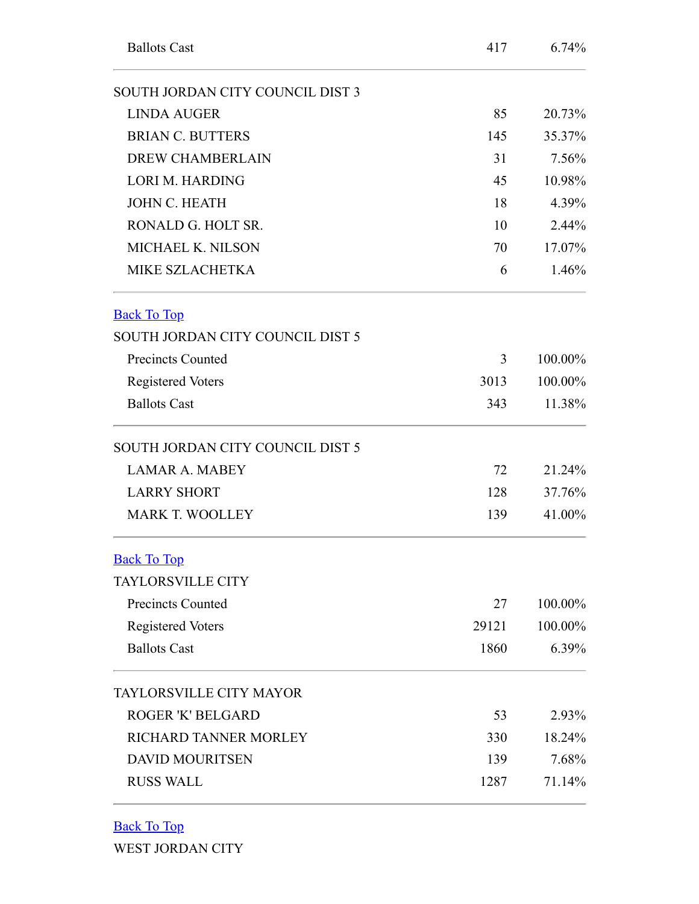<span id="page-4-0"></span>

| <b>Ballots Cast</b>              | 417   | 6.74%   |
|----------------------------------|-------|---------|
| SOUTH JORDAN CITY COUNCIL DIST 3 |       |         |
| <b>LINDA AUGER</b>               | 85    | 20.73%  |
| <b>BRIAN C. BUTTERS</b>          | 145   | 35.37%  |
| <b>DREW CHAMBERLAIN</b>          | 31    | 7.56%   |
| <b>LORI M. HARDING</b>           | 45    | 10.98%  |
| <b>JOHN C. HEATH</b>             | 18    | 4.39%   |
| RONALD G. HOLT SR.               | 10    | 2.44%   |
| MICHAEL K. NILSON                | 70    | 17.07%  |
| <b>MIKE SZLACHETKA</b>           | 6     | 1.46%   |
| <b>Back To Top</b>               |       |         |
| SOUTH JORDAN CITY COUNCIL DIST 5 |       |         |
| <b>Precincts Counted</b>         | 3     | 100.00% |
| <b>Registered Voters</b>         | 3013  | 100.00% |
| <b>Ballots Cast</b>              | 343   | 11.38%  |
| SOUTH JORDAN CITY COUNCIL DIST 5 |       |         |
| <b>LAMAR A. MABEY</b>            | 72    | 21.24%  |
| <b>LARRY SHORT</b>               | 128   | 37.76%  |
| <b>MARK T. WOOLLEY</b>           | 139   | 41.00%  |
| <b>Back To Top</b>               |       |         |
| <b>TAYLORSVILLE CITY</b>         |       |         |
| <b>Precincts Counted</b>         | 27    | 100.00% |
| <b>Registered Voters</b>         | 29121 | 100.00% |
| <b>Ballots Cast</b>              | 1860  | 6.39%   |
| <b>TAYLORSVILLE CITY MAYOR</b>   |       |         |
| <b>ROGER 'K' BELGARD</b>         | 53    | 2.93%   |
| RICHARD TANNER MORLEY            | 330   | 18.24%  |
| <b>DAVID MOURITSEN</b>           | 139   | 7.68%   |
| <b>RUSS WALL</b>                 | 1287  | 71.14%  |

<span id="page-4-2"></span><span id="page-4-1"></span>[Back To Top](#page-0-0)

WEST JORDAN CITY